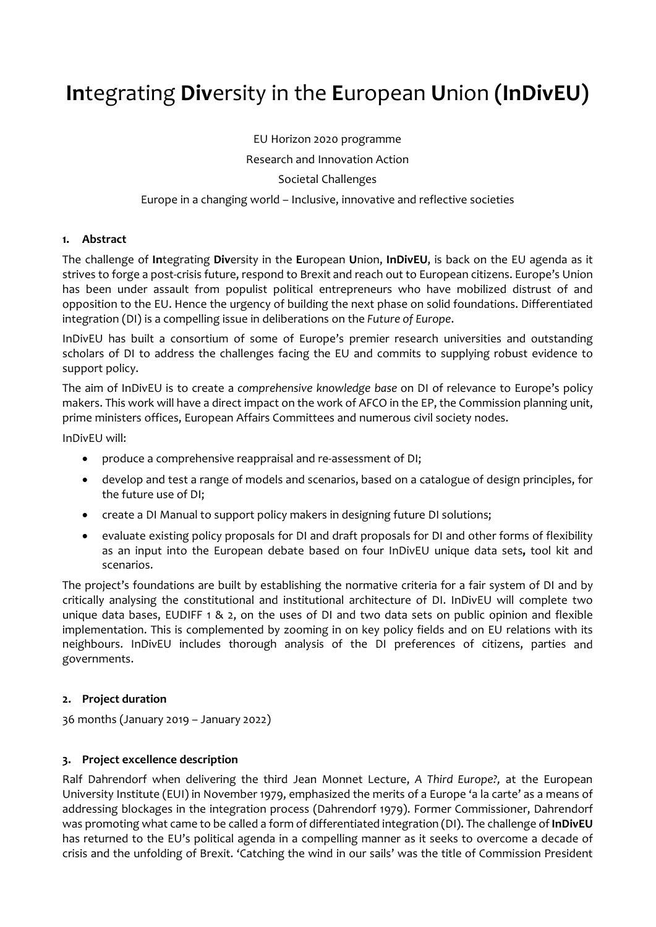# **In**tegrating **Div**ersity in the **E**uropean **U**nion **(InDivEU)**

EU Horizon 2020 programme Research and Innovation Action Societal Challenges

# Europe in a changing world – Inclusive, innovative and reflective societies

## **1. Abstract**

The challenge of **In**tegrating **Div**ersity in the **E**uropean **U**nion, **InDivEU**, is back on the EU agenda as it strives to forge a post-crisis future, respond to Brexit and reach out to European citizens. Europe's Union has been under assault from populist political entrepreneurs who have mobilized distrust of and opposition to the EU. Hence the urgency of building the next phase on solid foundations. Differentiated integration (DI) is a compelling issue in deliberations on the *Future of Europe*.

InDivEU has built a consortium of some of Europe's premier research universities and outstanding scholars of DI to address the challenges facing the EU and commits to supplying robust evidence to support policy.

The aim of InDivEU is to create a *comprehensive knowledge base* on DI of relevance to Europe's policy makers. This work will have a direct impact on the work of AFCO in the EP, the Commission planning unit, prime ministers offices, European Affairs Committees and numerous civil society nodes.

InDivEU will:

- produce a comprehensive reappraisal and re‐assessment of DI;
- develop and test a range of models and scenarios, based on a catalogue of design principles, for the future use of DI;
- create a DI Manual to support policy makers in designing future DI solutions;
- evaluate existing policy proposals for DI and draft proposals for DI and other forms of flexibility as an input into the European debate based on four InDivEU unique data sets**,** tool kit and scenarios.

The project's foundations are built by establishing the normative criteria for a fair system of DI and by critically analysing the constitutional and institutional architecture of DI. InDivEU will complete two unique data bases, EUDIFF 1 & 2, on the uses of DI and two data sets on public opinion and flexible implementation. This is complemented by zooming in on key policy fields and on EU relations with its neighbours. InDivEU includes thorough analysis of the DI preferences of citizens, parties and governments.

#### **2. Project duration**

36 months (January 2019 – January 2022)

## **3. Project excellence description**

Ralf Dahrendorf when delivering the third Jean Monnet Lecture, *A Third Europe?,* at the European University Institute (EUI) in November 1979, emphasized the merits of a Europe 'a la carte' as a means of addressing blockages in the integration process (Dahrendorf 1979). Former Commissioner, Dahrendorf was promoting what came to be called a form of differentiated integration (DI). The challenge of **InDivEU** has returned to the EU's political agenda in a compelling manner as it seeks to overcome a decade of crisis and the unfolding of Brexit. 'Catching the wind in our sails' was the title of Commission President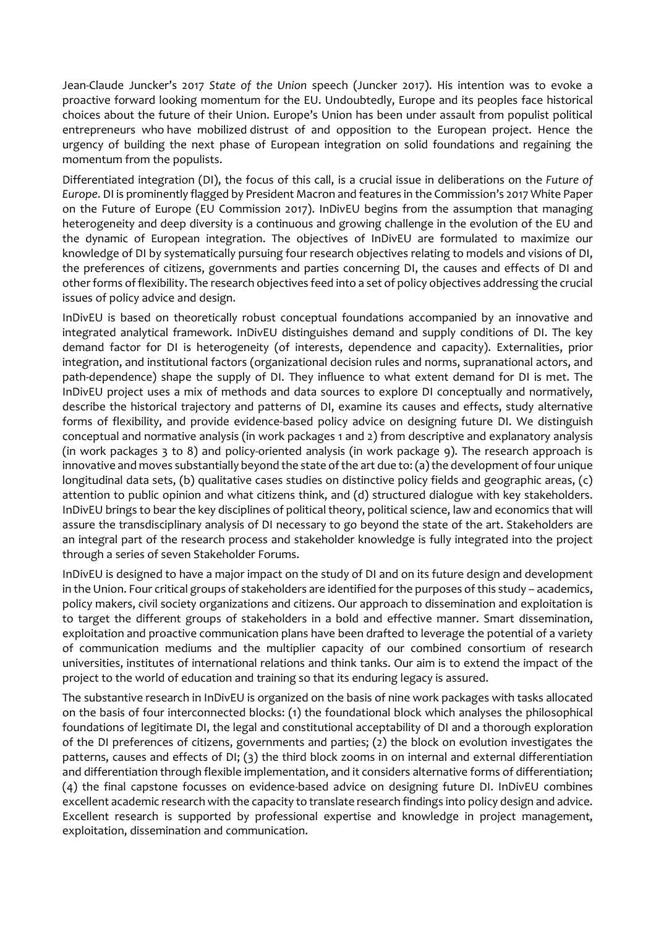Jean‐Claude Juncker's 2017 *State of the Union* speech (Juncker 2017). His intention was to evoke a proactive forward looking momentum for the EU. Undoubtedly, Europe and its peoples face historical choices about the future of their Union. Europe's Union has been under assault from populist political entrepreneurs who have mobilized distrust of and opposition to the European project. Hence the urgency of building the next phase of European integration on solid foundations and regaining the momentum from the populists.

Differentiated integration (DI), the focus of this call, is a crucial issue in deliberations on the *Future of Europe*. DI is prominently flagged by President Macron and features in the Commission's 2017 White Paper on the Future of Europe (EU Commission 2017). InDivEU begins from the assumption that managing heterogeneity and deep diversity is a continuous and growing challenge in the evolution of the EU and the dynamic of European integration. The objectives of InDivEU are formulated to maximize our knowledge of DI by systematically pursuing four research objectives relating to models and visions of DI, the preferences of citizens, governments and parties concerning DI, the causes and effects of DI and other forms offlexibility. The research objectives feed into a set of policy objectives addressing the crucial issues of policy advice and design.

InDivEU is based on theoretically robust conceptual foundations accompanied by an innovative and integrated analytical framework. InDivEU distinguishes demand and supply conditions of DI. The key demand factor for DI is heterogeneity (of interests, dependence and capacity). Externalities, prior integration, and institutional factors (organizational decision rules and norms, supranational actors, and path-dependence) shape the supply of DI. They influence to what extent demand for DI is met. The InDivEU project uses a mix of methods and data sources to explore DI conceptually and normatively, describe the historical trajectory and patterns of DI, examine its causes and effects, study alternative forms of flexibility, and provide evidence-based policy advice on designing future DI. We distinguish conceptual and normative analysis (in work packages 1 and 2) from descriptive and explanatory analysis (in work packages 3 to 8) and policy-oriented analysis (in work package 9). The research approach is innovative and moves substantially beyond the state of the art due to: (a) the development of four unique longitudinal data sets, (b) qualitative cases studies on distinctive policy fields and geographic areas, (c) attention to public opinion and what citizens think, and (d) structured dialogue with key stakeholders. InDivEU brings to bear the key disciplines of political theory, political science, law and economics that will assure the transdisciplinary analysis of DI necessary to go beyond the state of the art. Stakeholders are an integral part of the research process and stakeholder knowledge is fully integrated into the project through a series of seven Stakeholder Forums.

InDivEU is designed to have a major impact on the study of DI and on its future design and development in the Union. Four critical groups of stakeholders are identified for the purposes of this study – academics, policy makers, civil society organizations and citizens. Our approach to dissemination and exploitation is to target the different groups of stakeholders in a bold and effective manner. Smart dissemination, exploitation and proactive communication plans have been drafted to leverage the potential of a variety of communication mediums and the multiplier capacity of our combined consortium of research universities, institutes of international relations and think tanks. Our aim is to extend the impact of the project to the world of education and training so that its enduring legacy is assured.

The substantive research in InDivEU is organized on the basis of nine work packages with tasks allocated on the basis of four interconnected blocks: (1) the foundational block which analyses the philosophical foundations of legitimate DI, the legal and constitutional acceptability of DI and a thorough exploration of the DI preferences of citizens, governments and parties; (2) the block on evolution investigates the patterns, causes and effects of DI; (3) the third block zooms in on internal and external differentiation and differentiation through flexible implementation, and it considers alternative forms of differentiation; (4) the final capstone focusses on evidence‐based advice on designing future DI. InDivEU combines excellent academic research with the capacity to translate research findings into policy design and advice. Excellent research is supported by professional expertise and knowledge in project management, exploitation, dissemination and communication.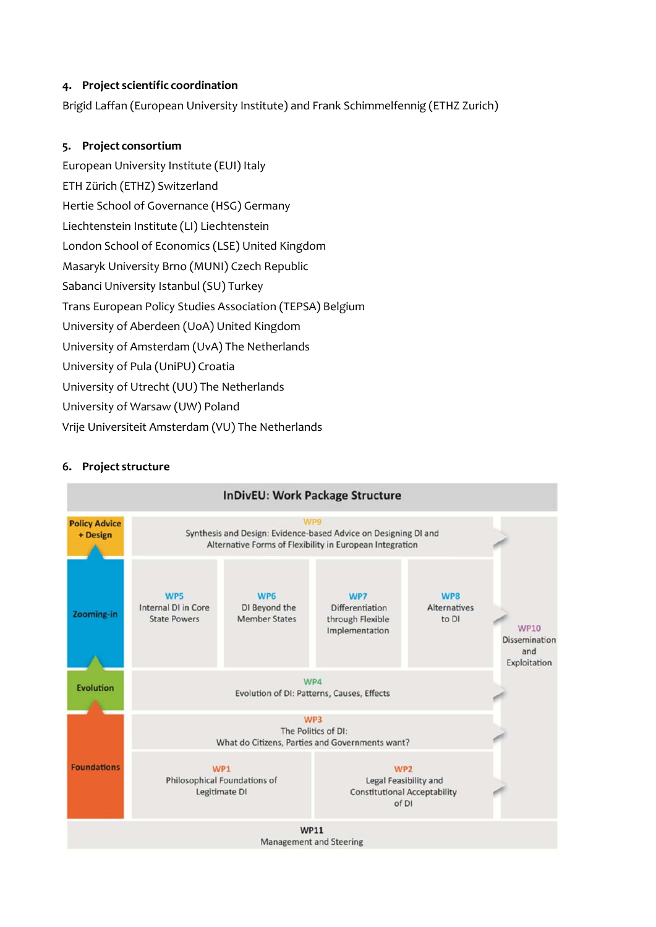## **4. Project scientific coordination**

Brigid Laffan (European University Institute) and Frank Schimmelfennig (ETHZ Zurich)

# **5. Project consortium**

European University Institute (EUI) Italy ETH Zürich (ETHZ) Switzerland Hertie School of Governance (HSG) Germany Liechtenstein Institute (LI) Liechtenstein London School of Economics (LSE) United Kingdom Masaryk University Brno (MUNI) Czech Republic Sabanci University Istanbul (SU) Turkey Trans European Policy Studies Association (TEPSA) Belgium University of Aberdeen (UoA) United Kingdom University of Amsterdam (UvA) The Netherlands University of Pula (UniPU) Croatia University of Utrecht (UU) The Netherlands University of Warsaw (UW) Poland Vrije Universiteit Amsterdam (VU) The Netherlands

# **6. Project structure**

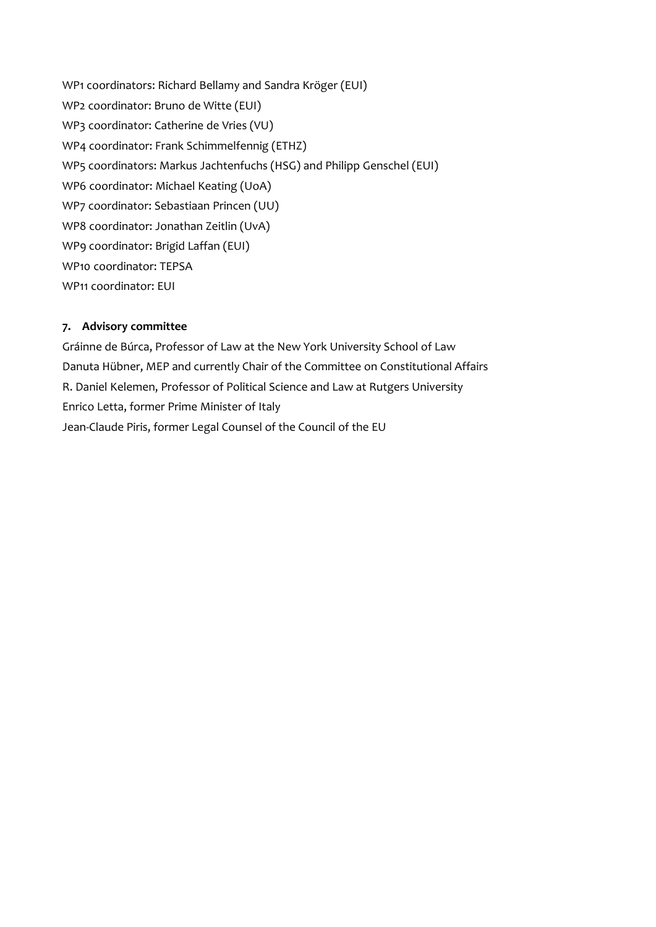WP1 coordinators: Richard Bellamy and Sandra Kröger (EUI) WP2 coordinator: Bruno de Witte (EUI) WP3 coordinator: Catherine de Vries (VU) WP4 coordinator: Frank Schimmelfennig (ETHZ) WP5 coordinators: Markus Jachtenfuchs (HSG) and Philipp Genschel (EUI) WP6 coordinator: Michael Keating (UoA) WP7 coordinator: Sebastiaan Princen (UU) WP8 coordinator: Jonathan Zeitlin (UvA) WP9 coordinator: Brigid Laffan (EUI) WP10 coordinator: TEPSA WP11 coordinator: EUI

## **7. Advisory committee**

Gráinne de Búrca, Professor of Law at the New York University School of Law Danuta Hübner, MEP and currently Chair of the Committee on Constitutional Affairs R. Daniel Kelemen, Professor of Political Science and Law at Rutgers University Enrico Letta, former Prime Minister of Italy Jean‐Claude Piris, former Legal Counsel of the Council of the EU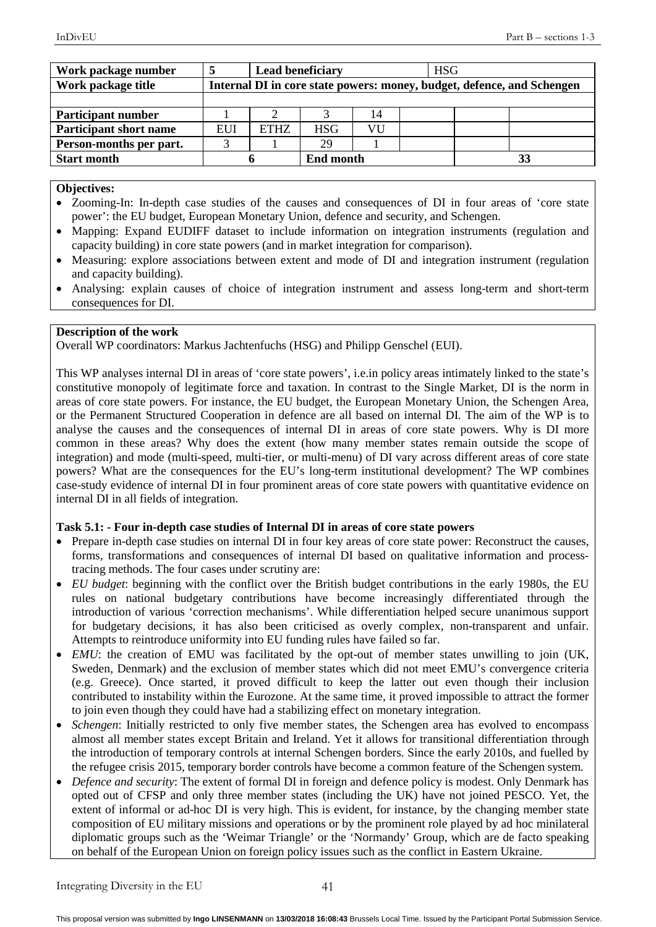| Work package number           |                                                                        | <b>Lead beneficiary</b> |                  | <b>HSG</b> |  |  |
|-------------------------------|------------------------------------------------------------------------|-------------------------|------------------|------------|--|--|
| Work package title            | Internal DI in core state powers: money, budget, defence, and Schengen |                         |                  |            |  |  |
|                               |                                                                        |                         |                  |            |  |  |
| <b>Participant number</b>     |                                                                        |                         |                  | 14         |  |  |
| <b>Participant short name</b> | EUI                                                                    | <b>ETHZ</b>             | <b>HSG</b>       | VU         |  |  |
| Person-months per part.       |                                                                        |                         | 29               |            |  |  |
| <b>Start month</b>            |                                                                        |                         | <b>End month</b> |            |  |  |

#### **Objectives:**

- Zooming-In: In-depth case studies of the causes and consequences of DI in four areas of 'core state power': the EU budget, European Monetary Union, defence and security, and Schengen.
- Mapping: Expand EUDIFF dataset to include information on integration instruments (regulation and capacity building) in core state powers (and in market integration for comparison).
- Measuring: explore associations between extent and mode of DI and integration instrument (regulation and capacity building).
- Analysing: explain causes of choice of integration instrument and assess long-term and short-term consequences for DI.

#### **Description of the work**

Overall WP coordinators: Markus Jachtenfuchs (HSG) and Philipp Genschel (EUI).

This WP analyses internal DI in areas of 'core state powers', i.e.in policy areas intimately linked to the state's constitutive monopoly of legitimate force and taxation. In contrast to the Single Market, DI is the norm in areas of core state powers. For instance, the EU budget, the European Monetary Union, the Schengen Area, or the Permanent Structured Cooperation in defence are all based on internal DI. The aim of the WP is to analyse the causes and the consequences of internal DI in areas of core state powers. Why is DI more common in these areas? Why does the extent (how many member states remain outside the scope of integration) and mode (multi-speed, multi-tier, or multi-menu) of DI vary across different areas of core state powers? What are the consequences for the EU's long-term institutional development? The WP combines case-study evidence of internal DI in four prominent areas of core state powers with quantitative evidence on internal DI in all fields of integration.

## **Task 5.1: - Four in-depth case studies of Internal DI in areas of core state powers**

- Prepare in-depth case studies on internal DI in four key areas of core state power: Reconstruct the causes, forms, transformations and consequences of internal DI based on qualitative information and processtracing methods. The four cases under scrutiny are:
- *EU budget*: beginning with the conflict over the British budget contributions in the early 1980s, the EU rules on national budgetary contributions have become increasingly differentiated through the introduction of various 'correction mechanisms'. While differentiation helped secure unanimous support for budgetary decisions, it has also been criticised as overly complex, non-transparent and unfair. Attempts to reintroduce uniformity into EU funding rules have failed so far.
- *EMU*: the creation of EMU was facilitated by the opt-out of member states unwilling to join (UK, Sweden, Denmark) and the exclusion of member states which did not meet EMU's convergence criteria (e.g. Greece). Once started, it proved difficult to keep the latter out even though their inclusion contributed to instability within the Eurozone. At the same time, it proved impossible to attract the former to join even though they could have had a stabilizing effect on monetary integration.
- *Schengen*: Initially restricted to only five member states, the Schengen area has evolved to encompass almost all member states except Britain and Ireland. Yet it allows for transitional differentiation through the introduction of temporary controls at internal Schengen borders. Since the early 2010s, and fuelled by the refugee crisis 2015, temporary border controls have become a common feature of the Schengen system.
- *Defence and security:* The extent of formal DI in foreign and defence policy is modest. Only Denmark has opted out of CFSP and only three member states (including the UK) have not joined PESCO. Yet, the extent of informal or ad-hoc DI is very high. This is evident, for instance, by the changing member state composition of EU military missions and operations or by the prominent role played by ad hoc minilateral diplomatic groups such as the 'Weimar Triangle' or the 'Normandy' Group, which are de facto speaking on behalf of the European Union on foreign policy issues such as the conflict in Eastern Ukraine.

Integrating Diversity in the EU 41